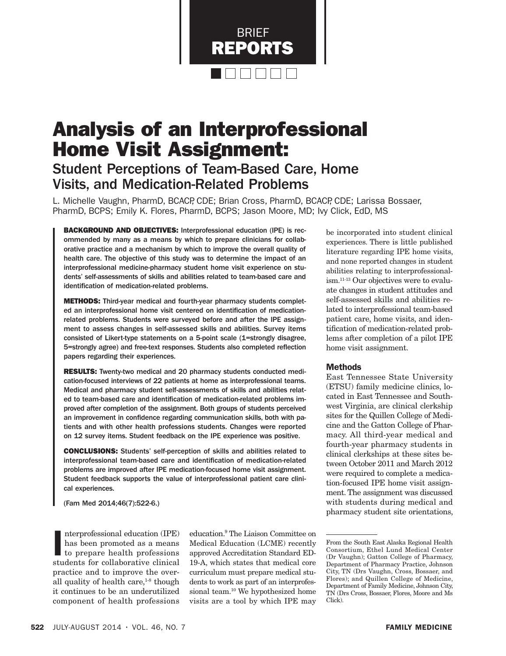

# Analysis of an Interprofessional Home Visit Assignment:

# Student Perceptions of Team-Based Care, Home Visits, and Medication-Related Problems

L. Michelle Vaughn, PharmD, BCACP, CDE; Brian Cross, PharmD, BCACP, CDE; Larissa Bossaer, PharmD, BCPS; Emily K. Flores, PharmD, BCPS; Jason Moore, MD; Ivy Click, EdD, MS

BACKGROUND AND OBJECTIVES: Interprofessional education (IPE) is recommended by many as a means by which to prepare clinicians for collaborative practice and a mechanism by which to improve the overall quality of health care. The objective of this study was to determine the impact of an interprofessional medicine-pharmacy student home visit experience on students' self-assessments of skills and abilities related to team-based care and identification of medication-related problems.

**METHODS:** Third-year medical and fourth-year pharmacy students completed an interprofessional home visit centered on identification of medicationrelated problems. Students were surveyed before and after the IPE assignment to assess changes in self-assessed skills and abilities. Survey items consisted of Likert-type statements on a 5-point scale (1=strongly disagree, 5=strongly agree) and free-text responses. Students also completed reflection papers regarding their experiences.

RESULTS: Twenty-two medical and 20 pharmacy students conducted medication-focused interviews of 22 patients at home as interprofessional teams. Medical and pharmacy student self-assessments of skills and abilities related to team-based care and identification of medication-related problems improved after completion of the assignment. Both groups of students perceived an improvement in confidence regarding communication skills, both with patients and with other health professions students. Changes were reported on 12 survey items. Student feedback on the IPE experience was positive.

CONCLUSIONS: Students' self-perception of skills and abilities related to interprofessional team-based care and identification of medication-related problems are improved after IPE medication-focused home visit assignment. Student feedback supports the value of interprofessional patient care clinical experiences.

(Fam Med 2014;46(7):522-6.)

nterprofessional education (IPE)<br>has been promoted as a means<br>to prepare health professions<br>students for collaborative clinical nterprofessional education (IPE) has been promoted as a means to prepare health professions practice and to improve the overall quality of health care, $1-8$  though it continues to be an underutilized component of health professions

education.9 The Liaison Committee on Medical Education (LCME) recently approved Accreditation Standard ED-19-A, which states that medical core curriculum must prepare medical students to work as part of an interprofessional team.10 We hypothesized home visits are a tool by which IPE may

be incorporated into student clinical experiences. There is little published literature regarding IPE home visits, and none reported changes in student abilities relating to interprofessionalism.11-13 Our objectives were to evaluate changes in student attitudes and self-assessed skills and abilities related to interprofessional team-based patient care, home visits, and identification of medication-related problems after completion of a pilot IPE home visit assignment.

#### Methods

East Tennessee State University (ETSU) family medicine clinics, located in East Tennessee and Southwest Virginia, are clinical clerkship sites for the Quillen College of Medicine and the Gatton College of Pharmacy. All third-year medical and fourth-year pharmacy students in clinical clerkships at these sites between October 2011 and March 2012 were required to complete a medication-focused IPE home visit assignment. The assignment was discussed with students during medical and pharmacy student site orientations,

From the South East Alaska Regional Health Consortium, Ethel Lund Medical Center (Dr Vaughn); Gatton College of Pharmacy, Department of Pharmacy Practice, Johnson City, TN (Drs Vaughn, Cross, Bossaer, and Flores); and Quillen College of Medicine, Department of Family Medicine, Johnson City, TN (Drs Cross, Bossaer, Flores, Moore and Ms Click).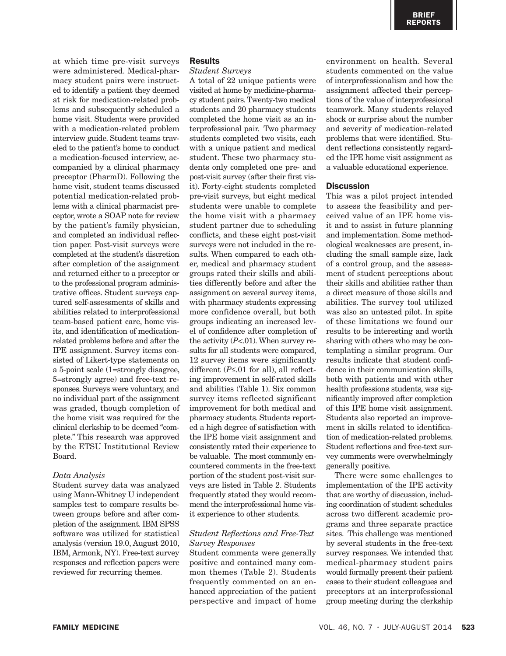at which time pre-visit surveys were administered. Medical-pharmacy student pairs were instructed to identify a patient they deemed at risk for medication-related problems and subsequently scheduled a home visit. Students were provided with a medication-related problem interview guide. Student teams traveled to the patient's home to conduct a medication-focused interview, accompanied by a clinical pharmacy preceptor (PharmD). Following the home visit, student teams discussed potential medication-related problems with a clinical pharmacist preceptor, wrote a SOAP note for review by the patient's family physician, and completed an individual reflection paper. Post-visit surveys were completed at the student's discretion after completion of the assignment and returned either to a preceptor or to the professional program administrative offices. Student surveys captured self-assessments of skills and abilities related to interprofessional team-based patient care, home visits, and identification of medicationrelated problems before and after the IPE assignment. Survey items consisted of Likert-type statements on a 5-point scale (1=strongly disagree, 5=strongly agree) and free-text responses. Surveys were voluntary, and no individual part of the assignment was graded, though completion of the home visit was required for the clinical clerkship to be deemed "complete." This research was approved by the ETSU Institutional Review Board.

#### *Data Analysis*

Student survey data was analyzed using Mann-Whitney U independent samples test to compare results between groups before and after completion of the assignment. IBM SPSS software was utilized for statistical analysis (version 19.0, August 2010, IBM, Armonk, NY). Free-text survey responses and reflection papers were reviewed for recurring themes.

# **Results**

*Student Surveys*

A total of 22 unique patients were visited at home by medicine-pharmacy student pairs. Twenty-two medical students and 20 pharmacy students completed the home visit as an interprofessional pair. Two pharmacy students completed two visits, each with a unique patient and medical student. These two pharmacy students only completed one pre- and post-visit survey (after their first visit). Forty-eight students completed pre-visit surveys, but eight medical students were unable to complete the home visit with a pharmacy student partner due to scheduling conflicts, and these eight post-visit surveys were not included in the results. When compared to each other, medical and pharmacy student groups rated their skills and abilities differently before and after the assignment on several survey items, with pharmacy students expressing more confidence overall, but both groups indicating an increased level of confidence after completion of the activity (*P*<.01). When survey results for all students were compared, 12 survey items were significantly different (*P*≤.01 for all), all reflecting improvement in self-rated skills and abilities (Table 1). Six common survey items reflected significant improvement for both medical and pharmacy students. Students reported a high degree of satisfaction with the IPE home visit assignment and consistently rated their experience to be valuable. The most commonly encountered comments in the free-text portion of the student post-visit surveys are listed in Table 2. Students frequently stated they would recommend the interprofessional home visit experience to other students.

## *Student Reflections and Free-Text Survey Responses*

Student comments were generally positive and contained many common themes (Table 2). Students frequently commented on an enhanced appreciation of the patient perspective and impact of home environment on health. Several students commented on the value of interprofessionalism and how the assignment affected their perceptions of the value of interprofessional teamwork. Many students relayed shock or surprise about the number and severity of medication-related problems that were identified. Student reflections consistently regarded the IPE home visit assignment as a valuable educational experience.

## **Discussion**

This was a pilot project intended to assess the feasibility and perceived value of an IPE home visit and to assist in future planning and implementation. Some methodological weaknesses are present, including the small sample size, lack of a control group, and the assessment of student perceptions about their skills and abilities rather than a direct measure of those skills and abilities. The survey tool utilized was also an untested pilot. In spite of these limitations we found our results to be interesting and worth sharing with others who may be contemplating a similar program. Our results indicate that student confidence in their communication skills, both with patients and with other health professions students, was significantly improved after completion of this IPE home visit assignment. Students also reported an improvement in skills related to identification of medication-related problems. Student reflections and free-text survey comments were overwhelmingly generally positive.

There were some challenges to implementation of the IPE activity that are worthy of discussion, including coordination of student schedules across two different academic programs and three separate practice sites. This challenge was mentioned by several students in the free-text survey responses. We intended that medical-pharmacy student pairs would formally present their patient cases to their student colleagues and preceptors at an interprofessional group meeting during the clerkship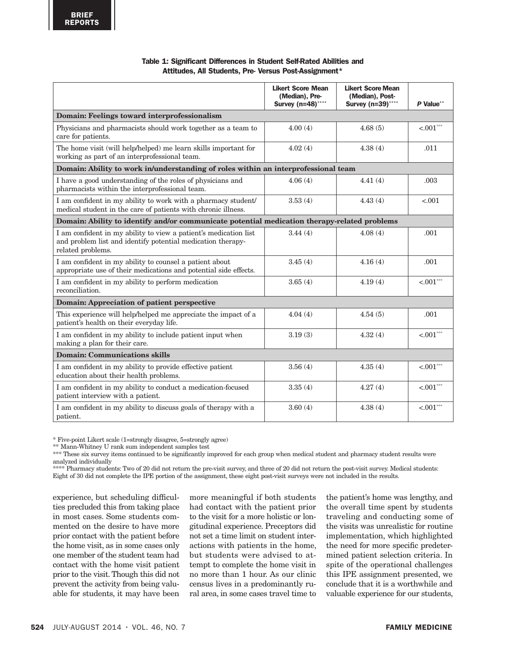| Table 1: Significant Differences in Student Self-Rated Abilities and |  |  |
|----------------------------------------------------------------------|--|--|
| Attitudes, All Students, Pre- Versus Post-Assignment*                |  |  |

|                                                                                                                                                      | <b>Likert Score Mean</b><br>(Median), Pre-<br>Survey (n=48)**** | <b>Likert Score Mean</b><br>(Median), Post-<br>Survey (n=39)**** | P Value**    |
|------------------------------------------------------------------------------------------------------------------------------------------------------|-----------------------------------------------------------------|------------------------------------------------------------------|--------------|
| Domain: Feelings toward interprofessionalism                                                                                                         |                                                                 |                                                                  |              |
| Physicians and pharmacists should work together as a team to<br>care for patients.                                                                   | 4.00(4)                                                         | 4.68(5)                                                          | $< .001$ *** |
| The home visit (will help/helped) me learn skills important for<br>working as part of an interprofessional team.                                     | 4.02(4)                                                         | 4.38(4)                                                          | .011         |
| Domain: Ability to work in/understanding of roles within an interprofessional team                                                                   |                                                                 |                                                                  |              |
| I have a good understanding of the roles of physicians and<br>pharmacists within the interprofessional team.                                         | 4.06(4)                                                         | 4.41(4)                                                          | .003         |
| I am confident in my ability to work with a pharmacy student/<br>medical student in the care of patients with chronic illness.                       | 3.53(4)                                                         | 4.43(4)                                                          | < 0.01       |
| Domain: Ability to identify and/or communicate potential medication therapy-related problems                                                         |                                                                 |                                                                  |              |
| I am confident in my ability to view a patient's medication list<br>and problem list and identify potential medication therapy-<br>related problems. | 3.44(4)                                                         | 4.08(4)                                                          | .001         |
| I am confident in my ability to counsel a patient about<br>appropriate use of their medications and potential side effects.                          | 3.45(4)                                                         | 4.16(4)                                                          | .001         |
| I am confident in my ability to perform medication<br>reconciliation.                                                                                | 3.65(4)                                                         | 4.19(4)                                                          | $< .001$ *** |
| Domain: Appreciation of patient perspective                                                                                                          |                                                                 |                                                                  |              |
| This experience will help/helped me appreciate the impact of a<br>patient's health on their everyday life.                                           | 4.04(4)                                                         | 4.54(5)                                                          | .001         |
| I am confident in my ability to include patient input when<br>making a plan for their care.                                                          | 3.19(3)                                                         | 4.32(4)                                                          | $< .001$ *** |
| <b>Domain: Communications skills</b>                                                                                                                 |                                                                 |                                                                  |              |
| I am confident in my ability to provide effective patient<br>education about their health problems.                                                  | 3.56(4)                                                         | 4.35(4)                                                          | $< .001***$  |
| I am confident in my ability to conduct a medication-focused<br>patient interview with a patient.                                                    | 3.35(4)                                                         | 4.27(4)                                                          | $< .001$ *** |
| I am confident in my ability to discuss goals of therapy with a<br>patient.                                                                          | 3.60(4)                                                         | 4.38(4)                                                          | $< .001$ *** |

\* Five-point Likert scale (1=strongly disagree, 5=strongly agree)

\*\* Mann-Whitney U rank sum independent samples test

\*\*\* These six survey items continued to be significantly improved for each group when medical student and pharmacy student results were analyzed individually

\*\*\*\* Pharmacy students: Two of 20 did not return the pre-visit survey, and three of 20 did not return the post-visit survey. Medical students: Eight of 30 did not complete the IPE portion of the assignment, these eight post-visit surveys were not included in the results.

experience, but scheduling difficulties precluded this from taking place in most cases. Some students commented on the desire to have more prior contact with the patient before the home visit, as in some cases only one member of the student team had contact with the home visit patient prior to the visit. Though this did not prevent the activity from being valuable for students, it may have been

more meaningful if both students had contact with the patient prior to the visit for a more holistic or longitudinal experience. Preceptors did not set a time limit on student interactions with patients in the home, but students were advised to attempt to complete the home visit in no more than 1 hour. As our clinic census lives in a predominantly rural area, in some cases travel time to the patient's home was lengthy, and the overall time spent by students traveling and conducting some of the visits was unrealistic for routine implementation, which highlighted the need for more specific predetermined patient selection criteria. In spite of the operational challenges this IPE assignment presented, we conclude that it is a worthwhile and valuable experience for our students,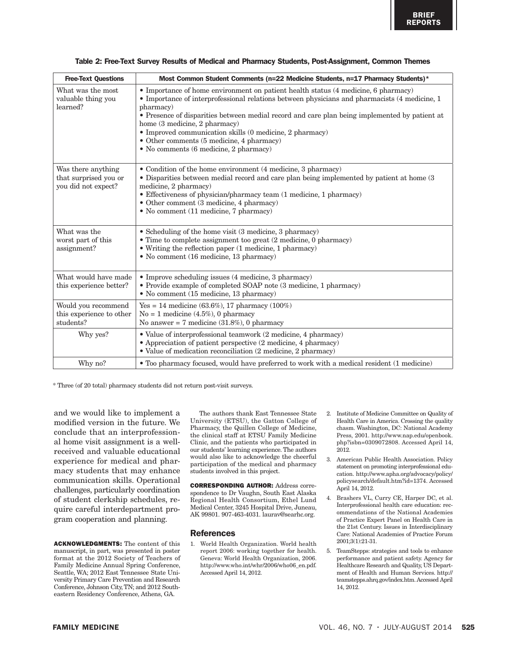| <b>Free-Text Questions</b>                                         | Most Common Student Comments (n=22 Medicine Students, n=17 Pharmacy Students)*                                                                                                                                                                                                                                                                                                                                                                                                                 |
|--------------------------------------------------------------------|------------------------------------------------------------------------------------------------------------------------------------------------------------------------------------------------------------------------------------------------------------------------------------------------------------------------------------------------------------------------------------------------------------------------------------------------------------------------------------------------|
| What was the most<br>valuable thing you<br>learned?                | • Importance of home environment on patient health status (4 medicine, 6 pharmacy)<br>• Importance of interprofessional relations between physicians and pharmacists (4 medicine, 1)<br>pharmacy)<br>• Presence of disparities between medial record and care plan being implemented by patient at<br>home (3 medicine, 2 pharmacy)<br>$\bullet$ Improved communication skills (0 medicine, 2 pharmacy)<br>• Other comments (5 medicine, 4 pharmacy)<br>· No comments (6 medicine, 2 pharmacy) |
| Was there anything<br>that surprised you or<br>you did not expect? | • Condition of the home environment (4 medicine, 3 pharmacy)<br>• Disparities between medial record and care plan being implemented by patient at home (3)<br>medicine, 2 pharmacy)<br>• Effectiveness of physician/pharmacy team (1 medicine, 1 pharmacy)<br>• Other comment (3 medicine, 4 pharmacy)<br>• No comment (11 medicine, 7 pharmacy)                                                                                                                                               |
| What was the<br>worst part of this<br>assignment?                  | • Scheduling of the home visit (3 medicine, 3 pharmacy)<br>• Time to complete assignment too great (2 medicine, 0 pharmacy)<br>$\bullet$ Writing the reflection paper (1 medicine, 1 pharmacy)<br>• No comment (16 medicine, 13 pharmacy)                                                                                                                                                                                                                                                      |
| What would have made<br>this experience better?                    | • Improve scheduling issues (4 medicine, 3 pharmacy)<br>· Provide example of completed SOAP note (3 medicine, 1 pharmacy)<br>• No comment (15 medicine, 13 pharmacy)                                                                                                                                                                                                                                                                                                                           |
| Would you recommend<br>this experience to other<br>students?       | Yes = 14 medicine $(63.6\%)$ , 17 pharmacy $(100\%)$<br>$No = 1$ medicine (4.5%), 0 pharmacy<br>No answer = $7$ medicine $(31.8\%)$ , 0 pharmacy                                                                                                                                                                                                                                                                                                                                               |
| Why yes?                                                           | • Value of interprofessional teamwork (2 medicine, 4 pharmacy)<br>• Appreciation of patient perspective (2 medicine, 4 pharmacy)<br>• Value of medication reconciliation (2 medicine, 2 pharmacy)                                                                                                                                                                                                                                                                                              |
| Why no?                                                            | • Too pharmacy focused, would have preferred to work with a medical resident (1 medicine)                                                                                                                                                                                                                                                                                                                                                                                                      |

|  | Table 2: Free-Text Survey Results of Medical and Pharmacy Students, Post-Assignment, Common Themes |  |  |
|--|----------------------------------------------------------------------------------------------------|--|--|
|--|----------------------------------------------------------------------------------------------------|--|--|

\* Three (of 20 total) pharmacy students did not return post-visit surveys.

and we would like to implement a modified version in the future. We conclude that an interprofessional home visit assignment is a wellreceived and valuable educational experience for medical and pharmacy students that may enhance communication skills. Operational challenges, particularly coordination of student clerkship schedules, require careful interdepartment program cooperation and planning.

ACKNOWLEDGMENTS: The content of this manuscript, in part, was presented in poster format at the 2012 Society of Teachers of Family Medicine Annual Spring Conference, Seattle, WA; 2012 East Tennessee State University Primary Care Prevention and Research Conference, Johnson City, TN; and 2012 Southeastern Residency Conference, Athens, GA.

The authors thank East Tennessee State University (ETSU), the Gatton College of Pharmacy, the Quillen College of Medicine, the clinical staff at ETSU Family Medicine Clinic, and the patients who participated in our students' learning experience. The authors would also like to acknowledge the cheerful participation of the medical and pharmacy students involved in this project.

CORRESPONDING AUTHOR: Address correspondence to Dr Vaughn, South East Alaska Regional Health Consortium, Ethel Lund Medical Center, 3245 Hospital Drive, Juneau, AK 99801. 907-463-4031. laurav@searhc.org.

#### **References**

1. World Health Organization. World health report 2006: working together for health. Geneva: World Health Organization, 2006. http://www.who.int/whr/2006/who06\_en.pdf. Accessed April 14, 2012.

- 2. Institute of Medicine Committee on Quality of Health Care in America. Crossing the quality chasm. Washington, DC: National Academy Press, 2001. http://www.nap.edu/openbook. php?isbn=0309072808. Accessed April 14, 2012.
- 3. American Public Health Association. Policy statement on promoting interprofessional education. http://www.apha.org/advocacy/policy/ policysearch/default.htm?id=1374. Accessed April 14, 2012.
- 4. Brashers VL, Curry CE, Harper DC, et al. Interprofessional health care education: recommendations of the National Academies of Practice Expert Panel on Health Care in the 21st Century. Issues in Interdisciplinary Care: National Academies of Practice Forum 2001;3(1):21-31.
- 5. TeamStepps: strategies and tools to enhance performance and patient safety. Agency for Healthcare Research and Quality, US Department of Health and Human Services. http:// teamstepps.ahrq.gov/index.htm. Accessed April 14, 2012.